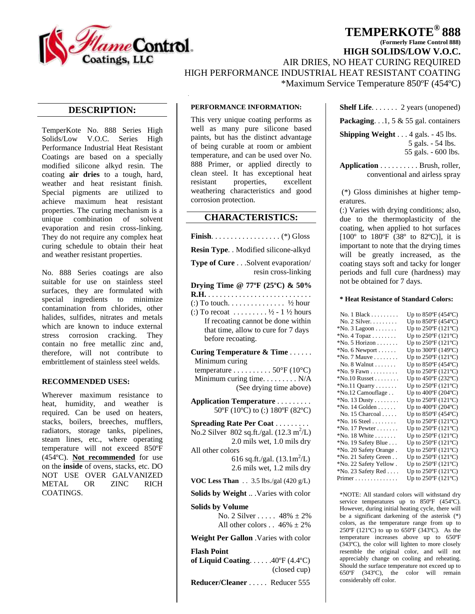

# **TEMPERKOTE® 888**

**(Formerly Flame Control 888)**

**HIGH SOLIDS/LOW V.O.C.** 

AIR DRIES, NO HEAT CURING REQUIRED

HIGH PERFORMANCE INDUSTRIAL HEAT RESISTANT COATING

\*Maximum Service Temperature 850ºF (454ºC)

### **DESCRIPTION:**

TemperKote No. 888 Series High Solids/Low V.O.C. Series High Performance Industrial Heat Resistant Coatings are based on a specially modified silicone alkyd resin. The coating **air dries** to a tough, hard, weather and heat resistant finish. Special pigments are utilized to achieve maximum heat resistant properties. The curing mechanism is a unique combination of solvent evaporation and resin cross-linking. They do not require any complex heat curing schedule to obtain their heat and weather resistant properties.

No. 888 Series coatings are also suitable for use on stainless steel surfaces, they are formulated with special ingredients to minimize contamination from chlorides, other halides, sulfides, nitrates and metals which are known to induce external stress corrosion cracking. They contain no free metallic zinc and, therefore, will not contribute to embrittlement of stainless steel welds.

#### **RECOMMENDED USES:**

Wherever maximum resistance to heat, humidity, and weather is required. Can be used on heaters, stacks, boilers, breeches, mufflers, radiators, storage tanks, pipelines, steam lines, etc., where operating temperature will not exceed 850ºF (454ºC). **Not recommended** for use on the **inside** of ovens, stacks, etc. DO NOT USE OVER GALVANIZED METAL OR ZINC RICH COATINGS.

### **PERFORMANCE INFORMATION:**

This very unique coating performs as well as many pure silicone based paints, but has the distinct advantage of being curable at room or ambient temperature, and can be used over No. 888 Primer, or applied directly to clean steel. It has exceptional heat resistant properties, excellent weathering characteristics and good corrosion protection.

### **CHARACTERISTICS:**

**Finish**. . . . . . . . . . . . . . . . . . (\*) Gloss

**Resin Type**. . Modified silicone-alkyd

**Type of Cure** . . .Solvent evaporation/ resin cross-linking

**Drying Time @ 77ºF (25ºC) & 50%** 

**R.H.** . . . . . . . . . . . . . . . . . . . . . . . . . . . (:) To touch. . . . . . . . . . . . . . .  $\frac{1}{2}$  hour (:) To recoat  $... \ldots . . .1/2 - 11/2$  hours If recoating cannot be done within that time, allow to cure for 7 days before recoating.

**Curing Temperature & Time** . . . . . . Minimum curing temperature  $\dots \dots \dots \dots 50^{\circ}F(10^{\circ}C)$  Minimum curing time. . . . . . . . . N/A (See drying time above)

**Application Temperature** . . . . . . . . . 50ºF (10ºC) to (:) 180ºF (82ºC)

**Spreading Rate Per Coat** . . . . . . . . . No.2 Silver 802 sq.ft./gal.  $(12.3 \text{ m}^2/\text{L})$  2.0 mils wet, 1.0 mils dry All other colors 616 sq.ft./gal.  $(13.1 \text{m}^2/\text{L})$  2.6 mils wet, 1.2 mils dry **VOC Less Than** . . 3.5 lbs./gal (420 g/L)

**Solids by Weight** .. .Varies with color

#### **Solids by Volume**

No. 2 Silver . . . . . 48%  $\pm$  2% All other colors  $\ldots$  46%  $\pm$  2%

**Weight Per Gallon** .Varies with color

**Flash Point of Liquid Coating**. . . . . .40ºF (4.4ºC) (closed cup) **Reducer/Cleaner** . . . . . Reducer 555

**Shelf Life**. . . . . . . 2 years (unopened)

**Packaging**. . .1, 5 & 55 gal. containers

**Shipping Weight** . . . 4 gals. - 45 lbs. 5 gals. - 54 lbs. 55 gals. - 600 lbs.

**Application** . . . . . . . . . . Brush, roller, conventional and airless spray

(\*) Gloss diminishes at higher temperatures.

(:) Varies with drying conditions; also, due to the thermoplasticity of the coating, when applied to hot surfaces  $[100^{\circ}$  to  $180^{\circ}$  F  $(38^{\circ}$  to  $82^{\circ}$ C)], it is important to note that the drying times will be greatly increased, as the coating stays soft and tacky for longer periods and full cure (hardness) may not be obtained for 7 days.

### **\* Heat Resistance of Standard Colors:**

| No. $1$ Black                      | Up to $850^{\circ}$ F (454 $^{\circ}$ C) |
|------------------------------------|------------------------------------------|
| No. 2 Silver.                      | Up to $850^{\circ}$ F (454 $^{\circ}$ C) |
| $^*$ No. 3 Lagoon $\dots\dots$     | Up to $250^{\circ}$ F (121°C)            |
| $^*$ No. 4 Topaz $\dots\dots\dots$ | Up to $250^{\circ}F(121^{\circ}C)$       |
| $^*$ No. 5 Horizon                 | Up to $250^{\circ}$ F (121 $^{\circ}$ C) |
| $*$ No. 6 Newport $\dots$ .        | Up to $300^{\circ}$ F (149 $^{\circ}$ C) |
| $N$ o. 7 Mauve                     | Up to $250^{\circ}$ F (121 $^{\circ}$ C) |
| No. 8 Walnut $\ldots \ldots$       | Up to $850^{\circ}$ F (454 $^{\circ}$ C) |
| $^*$ No. 9 Fawn $\dots\dots\dots$  | Up to $250^{\circ}F(121^{\circ}C)$       |
| $N$ o.10 Russet                    | Up to 450°F (232°C)                      |
| $N$ o.11 Quarry                    | Up to $250^{\circ}$ F (121 $^{\circ}$ C) |
| *No.12 Camouflage                  | Up to 400°F (204°C)                      |
| $^*$ No. 13 Dusty $\dots \dots$    | Up to 250°F (121°C)                      |
| $N$ o. 14 Golden                   | Up to 400°F (204°C)                      |
| No. 15 Charcoal                    | Up to $850^{\circ}$ F (454 $^{\circ}$ C) |
| $*$ No. 16 Steel                   | Up to 250°F (121°C)                      |
| $N$ o. 17 Pewter                   | Up to 250°F (121°C)                      |
| $*$ No. 18 White $\dots \dots$     | Up to $250^{\circ}F(121^{\circ}C)$       |
| *No. 19 Safety Blue                | Up to $250^{\circ}$ F (121 $^{\circ}$ C) |
| *No. 20 Safety Orange.             | Up to $250^{\circ}$ F (121 $^{\circ}$ C) |
| *No. 21 Safety Green               | Up to $250^{\circ}F(121^{\circ}C)$       |
| *No. 22 Safety Yellow.             | Up to $250^{\circ}F(121^{\circ}C)$       |
| *No. 23 Safety Red                 | Up to $250^{\circ}F(121^{\circ}C)$       |
| Primer                             | Up to $250^{\circ}F(121^{\circ}C)$       |

\*NOTE: All standard colors will withstand dry service temperatures up to 850°F (454°C). However, during initial heating cycle, there will be a significant darkening of the asterisk (\*) colors, as the temperature range from up to 250ºF (121ºC) to up to 650ºF (343ºC). As the temperature increases above up to 650ºF (343ºC), the color will lighten to more closely resemble the original color, and will not appreciably change on cooling and reheating. Should the surface temperature not exceed up to 650ºF (343ºC), the color will remain considerably off color.